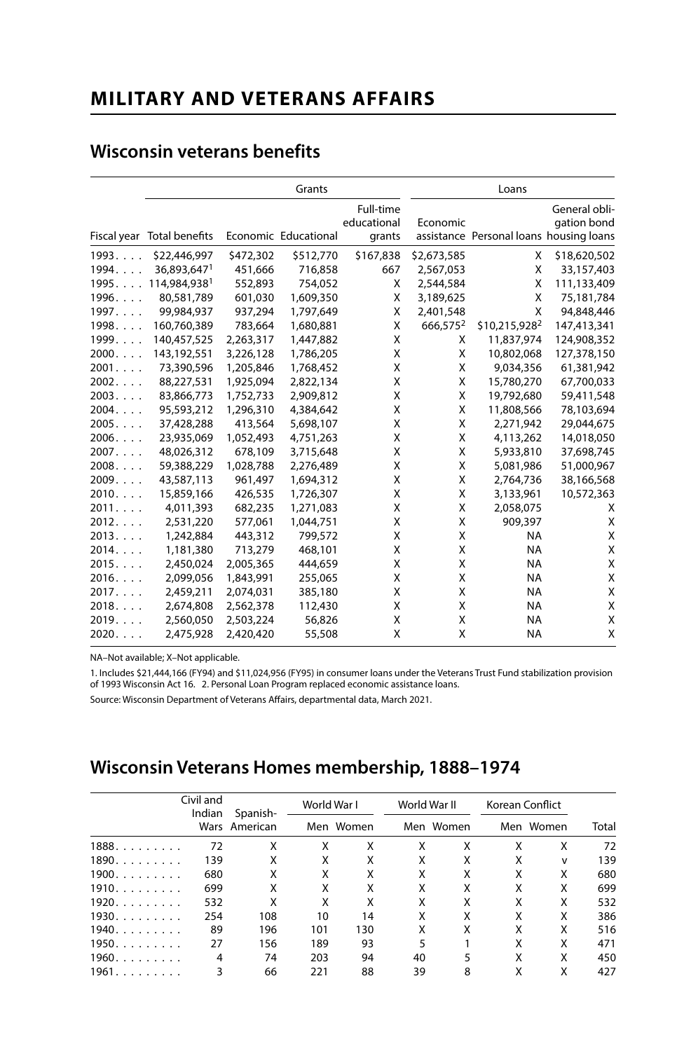# **MILITARY AND VETERANS AFFAIRS**

### **Wisconsin veterans benefits**

|       |                                 |           | Grants               |                          |             |                                         |                              |
|-------|---------------------------------|-----------|----------------------|--------------------------|-------------|-----------------------------------------|------------------------------|
|       |                                 |           |                      | Full-time<br>educational | Economic    |                                         | General obli-<br>gation bond |
|       | Fiscal year Total benefits      |           | Economic Educational | grants                   |             | assistance Personal loans housing loans |                              |
| 1993  | \$22,446,997                    | \$472,302 | \$512,770            | \$167,838                | \$2,673,585 | X                                       | \$18,620,502                 |
| 1994  | 36.893.6471                     | 451,666   | 716,858              | 667                      | 2,567,053   | X                                       | 33,157,403                   |
|       | $1995$ 114,984,938 <sup>1</sup> | 552,893   | 754,052              | X                        | 2,544,584   | X                                       | 111,133,409                  |
| 1996. | 80,581,789                      | 601,030   | 1,609,350            | X                        | 3,189,625   | X                                       | 75,181,784                   |
| 1997  | 99,984,937                      | 937,294   | 1,797,649            | X                        | 2,401,548   | X                                       | 94,848,446                   |
| 1998  | 160.760.389                     | 783,664   | 1,680,881            | X                        | 666,5752    | \$10,215,9282                           | 147,413,341                  |
| 1999  | 140,457,525                     | 2,263,317 | 1,447,882            | X                        | X           | 11,837,974                              | 124,908,352                  |
| 2000  | 143,192,551                     | 3,226,128 | 1,786,205            | X                        | X           | 10,802,068                              | 127,378,150                  |
| 2001  | 73,390,596                      | 1,205,846 | 1,768,452            | X                        | X           | 9,034,356                               | 61,381,942                   |
| 2002. | 88,227,531                      | 1,925,094 | 2,822,134            | X                        | X           | 15,780,270                              | 67,700,033                   |
| 2003  | 83,866,773                      | 1,752,733 | 2,909,812            | X                        | X           | 19,792,680                              | 59,411,548                   |
| 2004. | 95,593,212                      | 1,296,310 | 4,384,642            | X                        | X           | 11,808,566                              | 78,103,694                   |
| 2005  | 37,428,288                      | 413,564   | 5,698,107            | X                        | X           | 2,271,942                               | 29,044,675                   |
| 2006. | 23,935,069                      | 1,052,493 | 4,751,263            | X                        | X           | 4,113,262                               | 14,018,050                   |
| 2007. | 48,026,312                      | 678,109   | 3,715,648            | X                        | X           | 5,933,810                               | 37,698,745                   |
| 2008. | 59,388,229                      | 1,028,788 | 2.276.489            | X                        | X           | 5,081,986                               | 51,000,967                   |
| 2009  | 43,587,113                      | 961,497   | 1,694,312            | X                        | X           | 2,764,736                               | 38,166,568                   |
| 2010  | 15,859,166                      | 426,535   | 1,726,307            | X                        | X           | 3,133,961                               | 10,572,363                   |
| 2011  | 4,011,393                       | 682,235   | 1,271,083            | X                        | X           | 2,058,075                               | X                            |
| 2012  | 2,531,220                       | 577,061   | 1,044,751            | X                        | X           | 909,397                                 | X                            |
| 2013  | 1,242,884                       | 443,312   | 799,572              | X                        | X           | <b>NA</b>                               | X                            |
| 2014. | 1,181,380                       | 713,279   | 468,101              | X                        | X           | <b>NA</b>                               | X                            |
| 2015  | 2,450,024                       | 2,005,365 | 444,659              | X                        | X           | <b>NA</b>                               | X                            |
| 2016. | 2,099,056                       | 1,843,991 | 255,065              | X                        | X           | <b>NA</b>                               | X                            |
| 2017. | 2,459,211                       | 2,074,031 | 385,180              | X                        | X           | <b>NA</b>                               | X                            |
| 2018. | 2,674,808                       | 2,562,378 | 112,430              | X                        | X           | <b>NA</b>                               | X                            |
| 2019  | 2,560,050                       | 2,503,224 | 56,826               | X                        | X           | <b>NA</b>                               | X                            |
| 2020  | 2,475,928                       | 2,420,420 | 55,508               | X                        | X           | <b>NA</b>                               | X                            |

NA–Not available; X–Not applicable.

1. Includes \$21,444,166 (FY94) and \$11,024,956 (FY95) in consumer loans under the Veterans Trust Fund stabilization provision of 1993 Wisconsin Act 16. 2. Personal Loan Program replaced economic assistance loans.

Source: Wisconsin Department of Veterans Affairs, departmental data, March 2021.

## **Wisconsin Veterans Homes membership, 1888–1974**

|                       | Civil and<br>Indian | Spanish-<br>Wars American | World War I |           | World War II |           | Korean Conflict |           |       |
|-----------------------|---------------------|---------------------------|-------------|-----------|--------------|-----------|-----------------|-----------|-------|
|                       |                     |                           |             | Men Women |              | Men Women |                 | Men Women | Total |
| 1888.                 | 72                  | x                         | x           | X         | x            | x         | X               | х         | 72    |
| 1890.                 | 139                 | X                         | x           | X         | x            | x         | X               | v         | 139   |
| $1900. \ldots \ldots$ | 680                 | x                         | x           | X         | x            | x         | x               | X         | 680   |
| $1910.$               | 699                 | X                         | x           | x         | x            | x         | X               | X         | 699   |
| 1920.                 | 532                 | x                         | x           | x         | x            | x         | x               | Χ         | 532   |
| 1930.                 | 254                 | 108                       | 10          | 14        | x            | x         | X               | X         | 386   |
| $1940. \ldots \ldots$ | 89                  | 196                       | 101         | 130       | x            | x         | x               | X         | 516   |
| 1950.                 | 27                  | 156                       | 189         | 93        | 5            |           | X               | X         | 471   |
| $1960. \ldots \ldots$ | 4                   | 74                        | 203         | 94        | 40           | 5         | X               | Χ         | 450   |
| 1961.                 |                     | 66                        | 221         | 88        | 39           | 8         |                 | x         | 427   |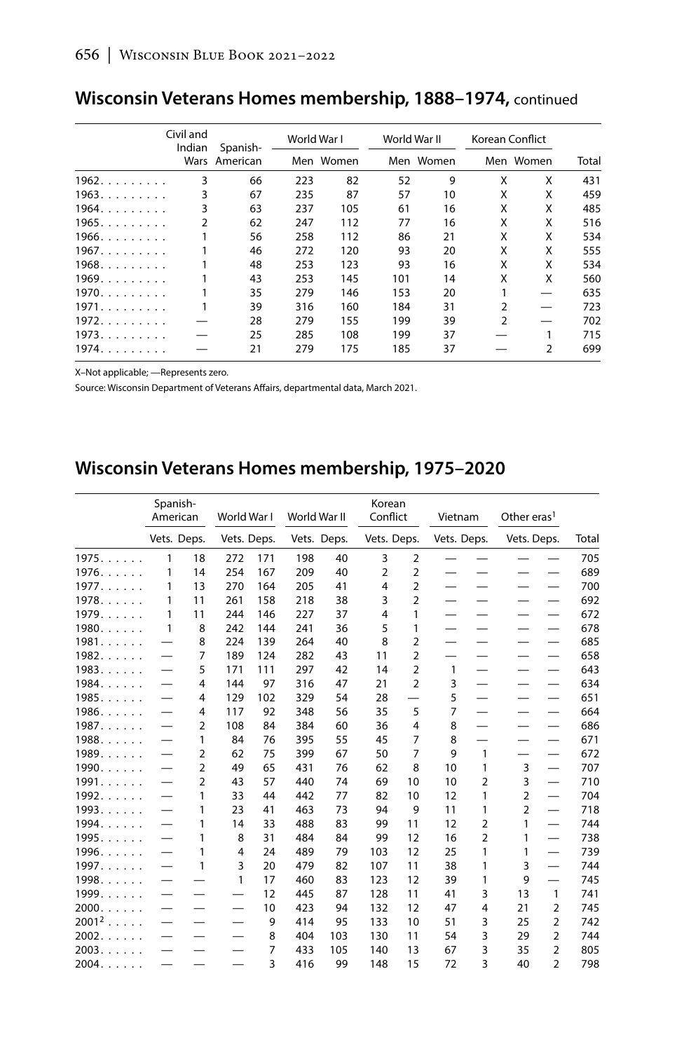# **Wisconsin Veterans Homes membership, 1888–1974,** continued

|                       | Civil and<br>Indian | Spanish-      |     | World War I | World War II |           | Korean Conflict |           |       |
|-----------------------|---------------------|---------------|-----|-------------|--------------|-----------|-----------------|-----------|-------|
|                       |                     | Wars American |     | Men Women   |              | Men Women |                 | Men Women | Total |
| 1962.                 | 3                   | 66            | 223 | 82          | 52           | 9         | X               | X         | 431   |
| 1963                  | 3                   | 67            | 235 | 87          | 57           | 10        | X               | x         | 459   |
| 1964.                 | 3                   | 63            | 237 | 105         | 61           | 16        | X               | x         | 485   |
| 1965.                 | $\overline{2}$      | 62            | 247 | 112         | 77           | 16        | X               | x         | 516   |
| 1966.                 |                     | 56            | 258 | 112         | 86           | 21        | X               | x         | 534   |
| $1967. \ldots \ldots$ |                     | 46            | 272 | 120         | 93           | 20        | X               | x         | 555   |
| 1968.                 |                     | 48            | 253 | 123         | 93           | 16        | x               | x         | 534   |
| 1969                  |                     | 43            | 253 | 145         | 101          | 14        | X               | x         | 560   |
| $1970. \ldots \ldots$ |                     | 35            | 279 | 146         | 153          | 20        |                 |           | 635   |
| 1971.                 |                     | 39            | 316 | 160         | 184          | 31        | $\mathcal{P}$   |           | 723   |
| 1972.                 |                     | 28            | 279 | 155         | 199          | 39        | $\mathcal{P}$   |           | 702   |
| 1973                  |                     | 25            | 285 | 108         | 199          | 37        |                 |           | 715   |
| 1974.                 |                     | 21            | 279 | 175         | 185          | 37        |                 | 2         | 699   |

X–Not applicable; —Represents zero.

Source: Wisconsin Department of Veterans Affairs, departmental data, March 2021.

### **Wisconsin Veterans Homes membership, 1975–2020**

|          | Spanish-<br>American              |                          | World War I<br>World War II |                |     | Korean<br>Conflict |                |                          | Vietnam                  |                          | Other eras <sup>1</sup>  |                          |       |
|----------|-----------------------------------|--------------------------|-----------------------------|----------------|-----|--------------------|----------------|--------------------------|--------------------------|--------------------------|--------------------------|--------------------------|-------|
|          |                                   | Vets. Deps.              | Vets. Deps.                 |                |     | Vets. Deps.        | Vets. Deps.    |                          | Vets. Deps.              |                          | Vets. Deps.              |                          | Total |
| 1975     | 1                                 | 18                       | 272                         | 171            | 198 | 40                 | 3              | $\overline{2}$           |                          |                          |                          |                          | 705   |
| 1976.    | 1                                 | 14                       | 254                         | 167            | 209 | 40                 | $\overline{2}$ | $\overline{2}$           | $\overline{\phantom{0}}$ |                          |                          | $\overline{\phantom{0}}$ | 689   |
| 1977     | 1                                 | 13                       | 270                         | 164            | 205 | 41                 | 4              | $\overline{2}$           | $\overline{\phantom{0}}$ |                          |                          | $\overline{\phantom{0}}$ | 700   |
| 1978.    | 1                                 | 11                       | 261                         | 158            | 218 | 38                 | 3              | $\overline{2}$           | $\overline{\phantom{0}}$ | $\overline{\phantom{0}}$ |                          | $\overline{\phantom{0}}$ | 692   |
| 1979     | 1                                 | 11                       | 244                         | 146            | 227 | 37                 | $\overline{4}$ | 1                        |                          | $\overline{\phantom{0}}$ |                          |                          | 672   |
| 1980.    | 1                                 | 8                        | 242                         | 144            | 241 | 36                 | 5              | 1                        |                          |                          |                          |                          | 678   |
| 1981     | $\overline{\phantom{0}}$          | 8                        | 224                         | 139            | 264 | 40                 | 8              | $\overline{2}$           | $\overline{\phantom{0}}$ | $\overline{\phantom{0}}$ | $\overline{\phantom{0}}$ | $\overline{\phantom{0}}$ | 685   |
| 1982.    |                                   | $\overline{7}$           | 189                         | 124            | 282 | 43                 | 11             | $\overline{2}$           | $\overline{\phantom{0}}$ | $\overline{\phantom{0}}$ |                          | $\overline{\phantom{0}}$ | 658   |
| 1983     | $\overline{\phantom{0}}$          | 5                        | 171                         | 111            | 297 | 42                 | 14             | $\overline{2}$           | $\mathbf{1}$             |                          |                          | $\overline{\phantom{0}}$ | 643   |
| 1984.    | $\overline{\phantom{0}}$          | 4                        | 144                         | 97             | 316 | 47                 | 21             | $\overline{2}$           | 3                        | $\overline{\phantom{0}}$ | $\overline{\phantom{0}}$ | $\overline{\phantom{0}}$ | 634   |
| 1985     | $\overline{\phantom{0}}$          | 4                        | 129                         | 102            | 329 | 54                 | 28             | $\overline{\phantom{0}}$ | 5                        | $\overline{\phantom{0}}$ | $\overline{\phantom{0}}$ | $\overline{\phantom{0}}$ | 651   |
| 1986.    | $\overbrace{\phantom{123221111}}$ | 4                        | 117                         | 92             | 348 | 56                 | 35             | 5                        | $\overline{7}$           |                          |                          |                          | 664   |
| 1987.    |                                   | $\overline{2}$           | 108                         | 84             | 384 | 60                 | 36             | $\overline{4}$           | 8                        | $\overline{\phantom{0}}$ |                          | $\overline{\phantom{0}}$ | 686   |
| 1988.    |                                   | $\mathbf{1}$             | 84                          | 76             | 395 | 55                 | 45             | $\overline{7}$           | 8                        | $\overline{\phantom{0}}$ |                          | $\overline{\phantom{0}}$ | 671   |
| 1989     |                                   | $\overline{2}$           | 62                          | 75             | 399 | 67                 | 50             | $\overline{7}$           | 9                        | $\mathbf{1}$             | $\overline{\phantom{0}}$ | $\overline{\phantom{0}}$ | 672   |
| 1990     | $\overline{\phantom{0}}$          | $\overline{2}$           | 49                          | 65             | 431 | 76                 | 62             | 8                        | 10                       | 1                        | 3                        | $\overline{\phantom{0}}$ | 707   |
| 1991.    | $\overbrace{\phantom{1232211}}$   | $\overline{2}$           | 43                          | 57             | 440 | 74                 | 69             | 10                       | 10                       | $\overline{2}$           | 3                        | $\overline{\phantom{0}}$ | 710   |
| 1992.    |                                   | 1                        | 33                          | 44             | 442 | 77                 | 82             | 10                       | 12                       | 1                        | $\overline{2}$           | $\overline{\phantom{0}}$ | 704   |
| 1993     | $\overline{\phantom{0}}$          | 1                        | 23                          | 41             | 463 | 73                 | 94             | 9                        | 11                       | 1                        | $\overline{2}$           | $\equiv$                 | 718   |
| 1994.    | $\overline{\phantom{0}}$          | 1                        | 14                          | 33             | 488 | 83                 | 99             | 11                       | 12                       | $\overline{2}$           | $\mathbf{1}$             | $\overline{\phantom{0}}$ | 744   |
| 1995     | —                                 | 1                        | 8                           | 31             | 484 | 84                 | 99             | 12                       | 16                       | $\overline{2}$           | $\mathbf{1}$             | $\overline{\phantom{0}}$ | 738   |
| 1996.    | $\overline{\phantom{0}}$          | 1                        | $\overline{4}$              | 24             | 489 | 79                 | 103            | 12                       | 25                       | 1                        | 1                        |                          | 739   |
| 1997.    | $\overbrace{\phantom{12322111}}$  | 1                        | 3                           | 20             | 479 | 82                 | 107            | 11                       | 38                       | 1                        | 3                        | $\overline{\phantom{0}}$ | 744   |
| 1998.    |                                   |                          | 1                           | 17             | 460 | 83                 | 123            | 12                       | 39                       | 1                        | 9                        | $\overline{\phantom{0}}$ | 745   |
| 1999.    |                                   | $\overline{\phantom{0}}$ | $\overline{\phantom{0}}$    | 12             | 445 | 87                 | 128            | 11                       | 41                       | 3                        | 13                       | $\mathbf{1}$             | 741   |
| 2000.    |                                   | $\overline{\phantom{0}}$ |                             | 10             | 423 | 94                 | 132            | 12                       | 47                       | $\overline{4}$           | 21                       | $\overline{2}$           | 745   |
| $2001^2$ | —                                 | $\overline{\phantom{0}}$ | $\overline{\phantom{0}}$    | 9              | 414 | 95                 | 133            | 10                       | 51                       | 3                        | 25                       | $\overline{2}$           | 742   |
| 2002.    |                                   |                          | $\overline{\phantom{0}}$    | 8              | 404 | 103                | 130            | 11                       | 54                       | 3                        | 29                       | $\overline{2}$           | 744   |
| 2003     |                                   |                          | $\overline{\phantom{0}}$    | $\overline{7}$ | 433 | 105                | 140            | 13                       | 67                       | 3                        | 35                       | $\overline{2}$           | 805   |
| 2004.    |                                   |                          |                             | 3              | 416 | 99                 | 148            | 15                       | 72                       | 3                        | 40                       | $\overline{2}$           | 798   |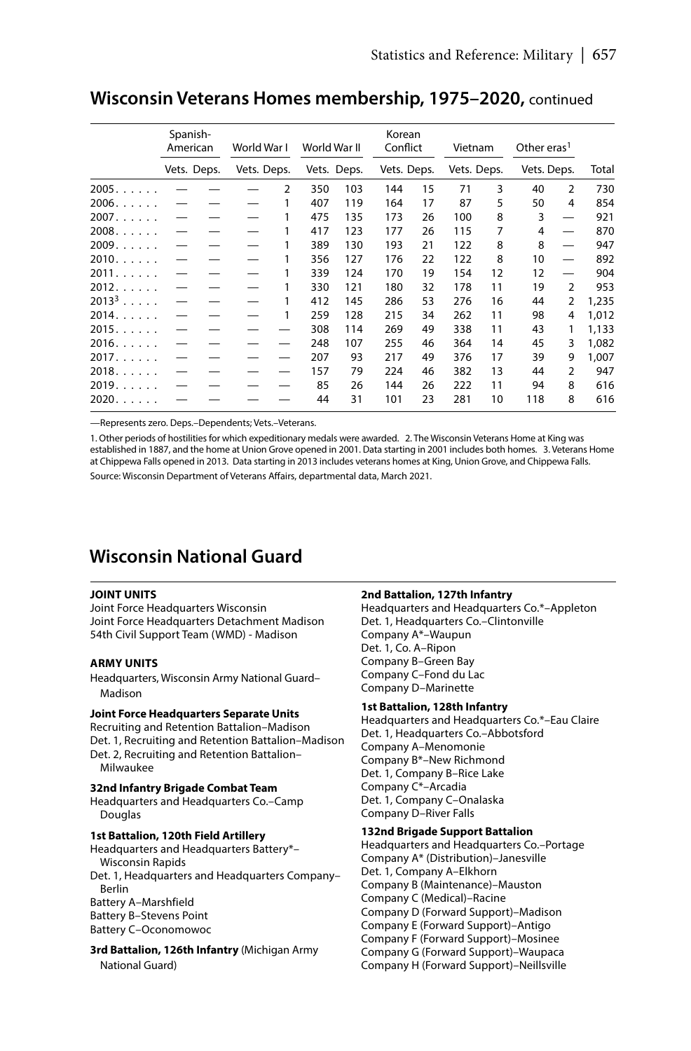### **Wisconsin Veterans Homes membership, 1975–2020,** continued

|          | Spanish-<br>American |  | World War I |                | World War II |             | Korean<br>Conflict |    | Vietnam     |    | Other eras <sup>1</sup> |                          |       |
|----------|----------------------|--|-------------|----------------|--------------|-------------|--------------------|----|-------------|----|-------------------------|--------------------------|-------|
|          | Vets. Deps.          |  | Vets. Deps. |                |              | Vets. Deps. | Vets. Deps.        |    | Vets. Deps. |    | Vets. Deps.             |                          | Total |
| 2005     |                      |  |             | $\overline{2}$ | 350          | 103         | 144                | 15 | 71          | 3  | 40                      | $\overline{2}$           | 730   |
| 2006.    |                      |  |             | 1              | 407          | 119         | 164                | 17 | 87          | 5  | 50                      | 4                        | 854   |
| 2007.    |                      |  |             | 1              | 475          | 135         | 173                | 26 | 100         | 8  | 3                       |                          | 921   |
| 2008.    |                      |  |             | 1              | 417          | 123         | 177                | 26 | 115         | 7  | $\overline{4}$          | $\overline{\phantom{0}}$ | 870   |
| 2009.    |                      |  |             | 1              | 389          | 130         | 193                | 21 | 122         | 8  | 8                       | $\overline{\phantom{0}}$ | 947   |
| 2010.    |                      |  |             | 1              | 356          | 127         | 176                | 22 | 122         | 8  | 10                      | $\overline{\phantom{0}}$ | 892   |
| 2011.    |                      |  |             | 1              | 339          | 124         | 170                | 19 | 154         | 12 | 12                      | —                        | 904   |
| 2012.    |                      |  |             | 1              | 330          | 121         | 180                | 32 | 178         | 11 | 19                      | $\overline{2}$           | 953   |
| $2013^3$ |                      |  |             | 1              | 412          | 145         | 286                | 53 | 276         | 16 | 44                      | $\overline{2}$           | 1,235 |
| 2014.    |                      |  |             | 1              | 259          | 128         | 215                | 34 | 262         | 11 | 98                      | 4                        | 1,012 |
| 2015     |                      |  |             |                | 308          | 114         | 269                | 49 | 338         | 11 | 43                      | 1                        | 1,133 |
| 2016.    |                      |  |             |                | 248          | 107         | 255                | 46 | 364         | 14 | 45                      | 3                        | 1,082 |
| 2017.    |                      |  |             |                | 207          | 93          | 217                | 49 | 376         | 17 | 39                      | 9                        | 1,007 |
| 2018.    |                      |  |             |                | 157          | 79          | 224                | 46 | 382         | 13 | 44                      | $\overline{2}$           | 947   |
| 2019.    |                      |  |             |                | 85           | 26          | 144                | 26 | 222         | 11 | 94                      | 8                        | 616   |
| 2020     |                      |  |             |                | 44           | 31          | 101                | 23 | 281         | 10 | 118                     | 8                        | 616   |

—Represents zero. Deps.–Dependents; Vets.–Veterans.

1. Other periods of hostilities for which expeditionary medals were awarded. 2. The Wisconsin Veterans Home at King was established in 1887, and the home at Union Grove opened in 2001. Data starting in 2001 includes both homes. 3. Veterans Home at Chippewa Falls opened in 2013. Data starting in 2013 includes veterans homes at King, Union Grove, and Chippewa Falls.

Source: Wisconsin Department of Veterans Affairs, departmental data, March 2021.

## **Wisconsin National Guard**

#### **JOINT UNITS**

Joint Force Headquarters Wisconsin Joint Force Headquarters Detachment Madison 54th Civil Support Team (WMD) - Madison

### **ARMY UNITS**

Headquarters, Wisconsin Army National Guard– Madison

#### **Joint Force Headquarters Separate Units**

Recruiting and Retention Battalion–Madison Det. 1, Recruiting and Retention Battalion–Madison Det. 2, Recruiting and Retention Battalion– Milwaukee

### **32nd Infantry Brigade Combat Team**

Headquarters and Headquarters Co.–Camp Douglas

### **1st Battalion, 120th Field Artillery**

Headquarters and Headquarters Battery\*– Wisconsin Rapids Det. 1, Headquarters and Headquarters Company– Berlin Battery A–Marshfield Battery B–Stevens Point Battery C–Oconomowoc

**3rd Battalion, 126th Infantry** (Michigan Army National Guard)

#### **2nd Battalion, 127th Infantry**

Headquarters and Headquarters Co.\*–Appleton Det. 1, Headquarters Co.–Clintonville Company A\*–Waupun Det. 1, Co. A–Ripon Company B–Green Bay Company C–Fond du Lac Company D–Marinette

### **1st Battalion, 128th Infantry**

Headquarters and Headquarters Co.\*–Eau Claire Det. 1, Headquarters Co.–Abbotsford Company A–Menomonie Company B\*–New Richmond Det. 1, Company B–Rice Lake Company C\*–Arcadia Det. 1, Company C–Onalaska Company D–River Falls

### **132nd Brigade Support Battalion**

Headquarters and Headquarters Co.–Portage Company A\* (Distribution)–Janesville Det. 1, Company A–Elkhorn Company B (Maintenance)–Mauston Company C (Medical)–Racine Company D (Forward Support)–Madison Company E (Forward Support)–Antigo Company F (Forward Support)–Mosinee Company G (Forward Support)–Waupaca Company H (Forward Support)–Neillsville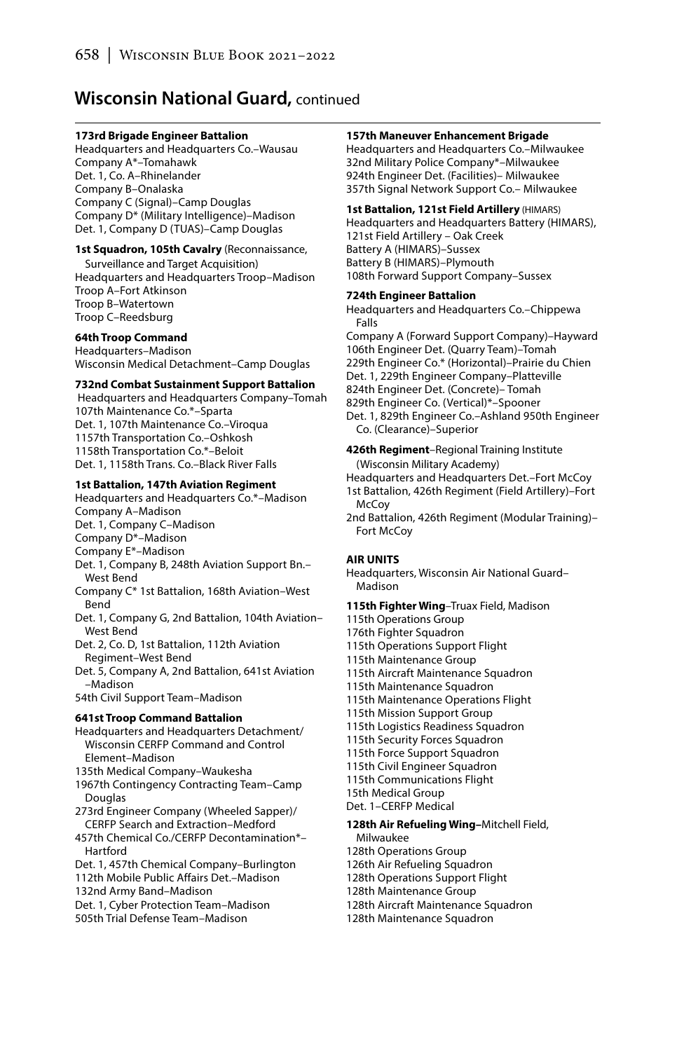### **Wisconsin National Guard,** continued

### **173rd Brigade Engineer Battalion**

Headquarters and Headquarters Co.–Wausau Company A\*–Tomahawk Det. 1, Co. A–Rhinelander Company B–Onalaska Company C (Signal)–Camp Douglas Company D\* (Military Intelligence)–Madison Det. 1, Company D (TUAS)–Camp Douglas

### **1st Squadron, 105th Cavalry** (Reconnaissance,

Surveillance and Target Acquisition) Headquarters and Headquarters Troop–Madison Troop A–Fort Atkinson Troop B–Watertown Troop C–Reedsburg

### **64th Troop Command**

Headquarters–Madison Wisconsin Medical Detachment–Camp Douglas

#### **732nd Combat Sustainment Support Battalion**

 Headquarters and Headquarters Company–Tomah 107th Maintenance Co.\*–Sparta Det. 1, 107th Maintenance Co.–Viroqua 1157th Transportation Co.–Oshkosh 1158th Transportation Co.\*–Beloit Det. 1, 1158th Trans. Co.–Black River Falls

### **1st Battalion, 147th Aviation Regiment**

Headquarters and Headquarters Co.\*–Madison Company A–Madison Det. 1, Company C–Madison Company D\*–Madison Company E\*–Madison Det. 1, Company B, 248th Aviation Support Bn.– West Bend Company C\* 1st Battalion, 168th Aviation–West Bend Det. 1, Company G, 2nd Battalion, 104th Aviation–

West Bend Det. 2, Co. D, 1st Battalion, 112th Aviation

Regiment–West Bend Det. 5, Company A, 2nd Battalion, 641st Aviation

–Madison

54th Civil Support Team–Madison

### **641st Troop Command Battalion**

Headquarters and Headquarters Detachment/ Wisconsin CERFP Command and Control Element–Madison

135th Medical Company–Waukesha

1967th Contingency Contracting Team–Camp Douglas

- 273rd Engineer Company (Wheeled Sapper)/ CERFP Search and Extraction–Medford
- 457th Chemical Co./CERFP Decontamination\*– Hartford

Det. 1, 457th Chemical Company–Burlington

112th Mobile Public Affairs Det.–Madison

132nd Army Band–Madison

Det. 1, Cyber Protection Team–Madison

505th Trial Defense Team–Madison

#### **157th Maneuver Enhancement Brigade**

Headquarters and Headquarters Co.–Milwaukee 32nd Military Police Company\*–Milwaukee 924th Engineer Det. (Facilities)– Milwaukee 357th Signal Network Support Co.– Milwaukee

**1st Battalion, 121st Field Artillery** (HIMARS) Headquarters and Headquarters Battery (HIMARS), 121st Field Artillery – Oak Creek Battery A (HIMARS)–Sussex Battery B (HIMARS)–Plymouth 108th Forward Support Company–Sussex

#### **724th Engineer Battalion**

Headquarters and Headquarters Co.–Chippewa Falls

Company A (Forward Support Company)–Hayward 106th Engineer Det. (Quarry Team)–Tomah 229th Engineer Co.\* (Horizontal)–Prairie du Chien Det. 1, 229th Engineer Company–Platteville 824th Engineer Det. (Concrete)– Tomah 829th Engineer Co. (Vertical)\*–Spooner Det. 1, 829th Engineer Co.–Ashland 950th Engineer Co. (Clearance)–Superior

**426th Regiment**–Regional Training Institute (Wisconsin Military Academy)

Headquarters and Headquarters Det.–Fort McCoy 1st Battalion, 426th Regiment (Field Artillery)–Fort

**McCoy** 

2nd Battalion, 426th Regiment (Modular Training)– Fort McCoy

### **AIR UNITS**

Headquarters, Wisconsin Air National Guard– Madison

**115th Fighter Wing**–Truax Field, Madison

- 115th Operations Group
- 176th Fighter Squadron
- 115th Operations Support Flight
- 115th Maintenance Group
- 115th Aircraft Maintenance Squadron
- 115th Maintenance Squadron
- 115th Maintenance Operations Flight
- 115th Mission Support Group
- 115th Logistics Readiness Squadron
- 115th Security Forces Squadron
- 115th Force Support Squadron
- 115th Civil Engineer Squadron
- 115th Communications Flight 15th Medical Group
- Det. 1–CERFP Medical
- 

### **128th Air Refueling Wing–**Mitchell Field, Milwaukee

- 128th Operations Group
- 126th Air Refueling Squadron
- 128th Operations Support Flight
- 128th Maintenance Group
- 128th Aircraft Maintenance Squadron
- 128th Maintenance Squadron